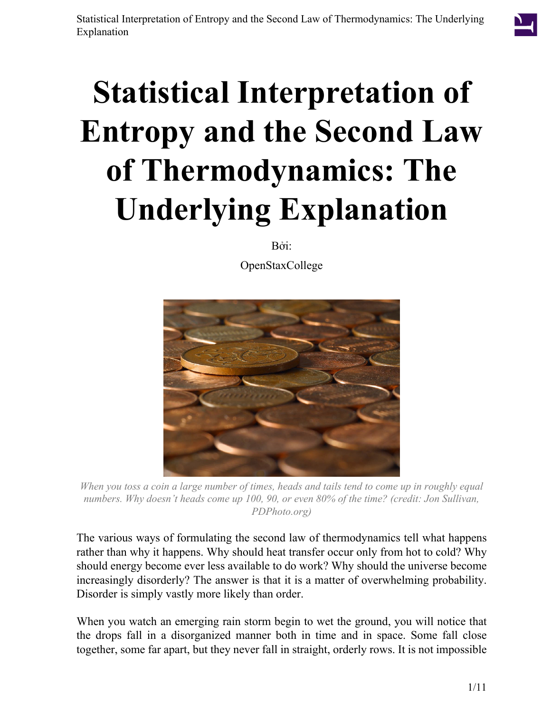Bởi:

OpenStaxCollege



*When you toss a coin a large number of times, heads and tails tend to come up in roughly equal numbers. Why doesn't heads come up 100, 90, or even 80% of the time? (credit: Jon Sullivan, PDPhoto.org)*

The various ways of formulating the second law of thermodynamics tell what happens rather than why it happens. Why should heat transfer occur only from hot to cold? Why should energy become ever less available to do work? Why should the universe become increasingly disorderly? The answer is that it is a matter of overwhelming probability. Disorder is simply vastly more likely than order.

When you watch an emerging rain storm begin to wet the ground, you will notice that the drops fall in a disorganized manner both in time and in space. Some fall close together, some far apart, but they never fall in straight, orderly rows. It is not impossible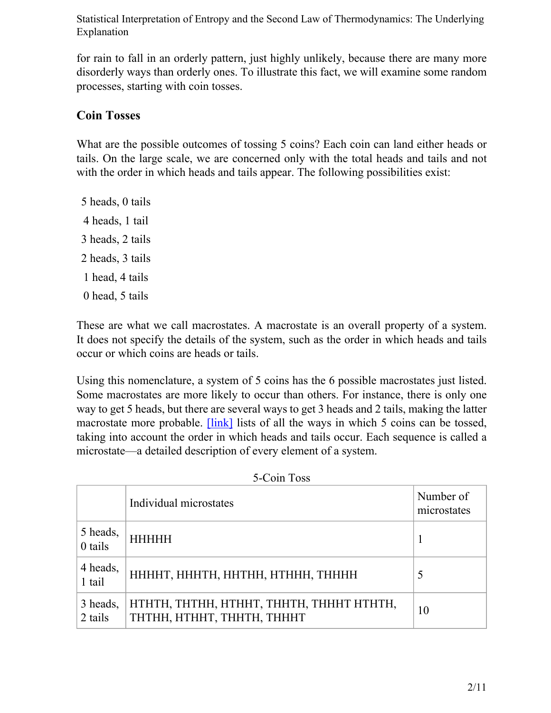for rain to fall in an orderly pattern, just highly unlikely, because there are many more disorderly ways than orderly ones. To illustrate this fact, we will examine some random processes, starting with coin tosses.

## **Coin Tosses**

What are the possible outcomes of tossing 5 coins? Each coin can land either heads or tails. On the large scale, we are concerned only with the total heads and tails and not with the order in which heads and tails appear. The following possibilities exist:

5 heads, 0 tails 4 heads, 1 tail 3 heads, 2 tails 2 heads, 3 tails 1 head, 4 tails 0 head, 5 tails

These are what we call macrostates. A macrostate is an overall property of a system. It does not specify the details of the system, such as the order in which heads and tails occur or which coins are heads or tails.

Using this nomenclature, a system of 5 coins has the 6 possible macrostates just listed. Some macrostates are more likely to occur than others. For instance, there is only one way to get 5 heads, but there are several ways to get 3 heads and 2 tails, making the latter macrostate more probable. *[\[link\]](#page-1-0)* lists of all the ways in which 5 coins can be tossed, taking into account the order in which heads and tails occur. Each sequence is called a microstate—a detailed description of every element of a system.

<span id="page-1-0"></span>

|                       | Individual microstates                                                 | Number of<br>microstates |
|-----------------------|------------------------------------------------------------------------|--------------------------|
| 5 heads,<br>$0$ tails | <b>HHHHH</b>                                                           |                          |
| 4 heads,<br>1 tail    | ННННТ, НННТН, ННТНН, НТННН, ТНННН                                      | 5                        |
| 3 heads,<br>2 tails   | НТНТН, ТНТНН, НТННТ, ТННТН, ТНННТ НТНТН,<br>ТНТНН, НТННТ, ТННТН, ТНННТ | 10                       |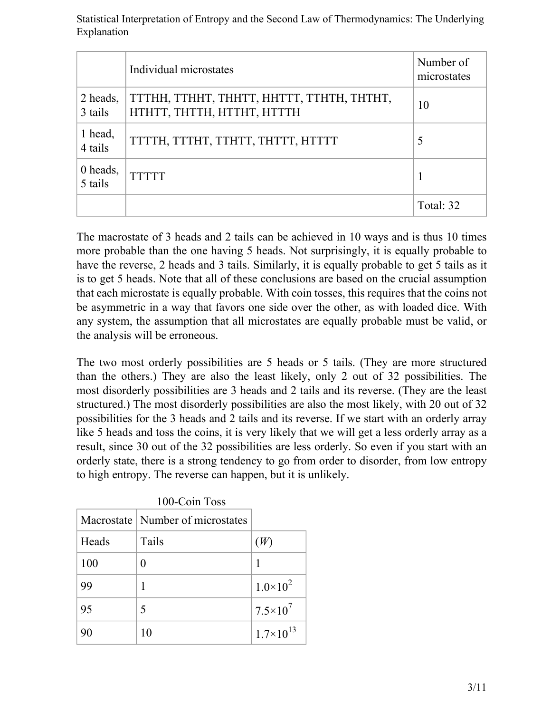|                     | Individual microstates                                                  | Number of<br>microstates |
|---------------------|-------------------------------------------------------------------------|--------------------------|
| 2 heads,<br>3 tails | TTTHH, TTHHT, THHTT, HHTTT, TTHTH, THTHT,<br>HTHTT, THTTH, HTTHT, HTTTH | 10                       |
| 1 head,<br>4 tails  | TTTTH, TTTHT, TTHTT, THTTT, HTTTT                                       |                          |
| 0 heads,<br>5 tails | <b>TTTTT</b>                                                            |                          |
|                     |                                                                         | Total: 32                |

The macrostate of 3 heads and 2 tails can be achieved in 10 ways and is thus 10 times more probable than the one having 5 heads. Not surprisingly, it is equally probable to have the reverse, 2 heads and 3 tails. Similarly, it is equally probable to get 5 tails as it is to get 5 heads. Note that all of these conclusions are based on the crucial assumption that each microstate is equally probable. With coin tosses, this requires that the coins not be asymmetric in a way that favors one side over the other, as with loaded dice. With any system, the assumption that all microstates are equally probable must be valid, or the analysis will be erroneous.

The two most orderly possibilities are 5 heads or 5 tails. (They are more structured than the others.) They are also the least likely, only 2 out of 32 possibilities. The most disorderly possibilities are 3 heads and 2 tails and its reverse. (They are the least structured.) The most disorderly possibilities are also the most likely, with 20 out of 32 possibilities for the 3 heads and 2 tails and its reverse. If we start with an orderly array like 5 heads and toss the coins, it is very likely that we will get a less orderly array as a result, since 30 out of the 32 possibilities are less orderly. So even if you start with an orderly state, there is a strong tendency to go from order to disorder, from low entropy to high entropy. The reverse can happen, but it is unlikely.

<span id="page-2-0"></span>

| 100-C0111 1055 |                                    |                    |  |  |  |
|----------------|------------------------------------|--------------------|--|--|--|
|                | Macrostate   Number of microstates |                    |  |  |  |
| Heads          | Tails                              | (W)                |  |  |  |
| 100            | 0                                  | 1                  |  |  |  |
| 99             |                                    | $1.0\times10^{2}$  |  |  |  |
| 95             | 5                                  | $7.5\times10^7$    |  |  |  |
| 90             | 10                                 | $1.7\times10^{13}$ |  |  |  |

 $100$  Coin Toss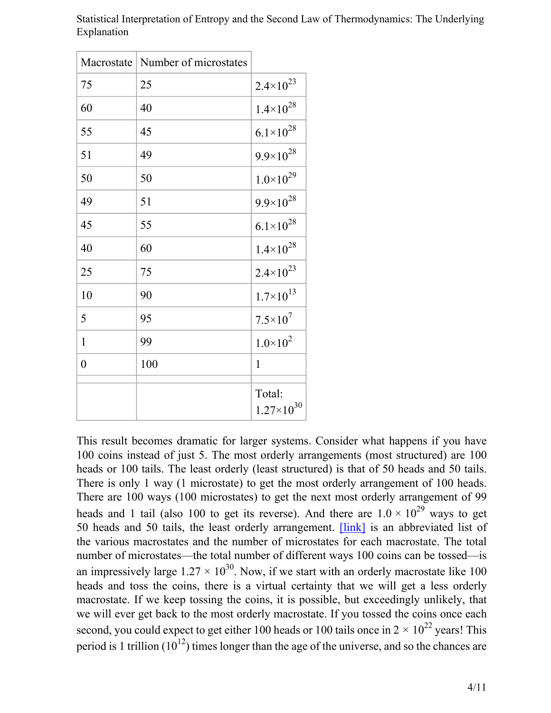| Macrostate       | Number of microstates |                               |
|------------------|-----------------------|-------------------------------|
| 75               | 25                    | $2.4 \times 10^{23}$          |
| 60               | 40                    | $1.4 \times 10^{28}$          |
| 55               | 45                    | $6.1 \times 10^{28}$          |
| 51               | 49                    | $9.9\times10^{28}$            |
| 50               | 50                    | $1.0\times10^{29}$            |
| 49               | 51                    | $9.9\times10^{28}$            |
| 45               | 55                    | $6.1 \times 10^{28}$          |
| 40               | 60                    | $1.4 \times 10^{28}$          |
| 25               | 75                    | $2.4 \times 10^{23}$          |
| 10               | 90                    | $1.7 \times 10^{13}$          |
| 5                | 95                    | $7.5\times10^7$               |
| $\mathbf{1}$     | 99                    | $1.0 \times 10^{2}$           |
| $\boldsymbol{0}$ | 100                   | $\mathbf{1}$                  |
|                  |                       | Total:<br>$1.27\times10^{30}$ |

This result becomes dramatic for larger systems. Consider what happens if you have 100 coins instead of just 5. The most orderly arrangements (most structured) are 100 heads or 100 tails. The least orderly (least structured) is that of 50 heads and 50 tails. There is only 1 way (1 microstate) to get the most orderly arrangement of 100 heads. There are 100 ways (100 microstates) to get the next most orderly arrangement of 99 heads and 1 tail (also 100 to get its reverse). And there are  $1.0 \times 10^{29}$  ways to get 50 heads and 50 tails, the least orderly arrangement. [\[link\]](#page-2-0) is an abbreviated list of the various macrostates and the number of microstates for each macrostate. The total number of microstates—the total number of different ways 100 coins can be tossed—is an impressively large  $1.27 \times 10^{30}$ . Now, if we start with an orderly macrostate like 100 heads and toss the coins, there is a virtual certainty that we will get a less orderly macrostate. If we keep tossing the coins, it is possible, but exceedingly unlikely, that we will ever get back to the most orderly macrostate. If you tossed the coins once each second, you could expect to get either 100 heads or 100 tails once in  $2 \times 10^{22}$  years! This period is 1 trillion  $(10^{12})$  times longer than the age of the universe, and so the chances are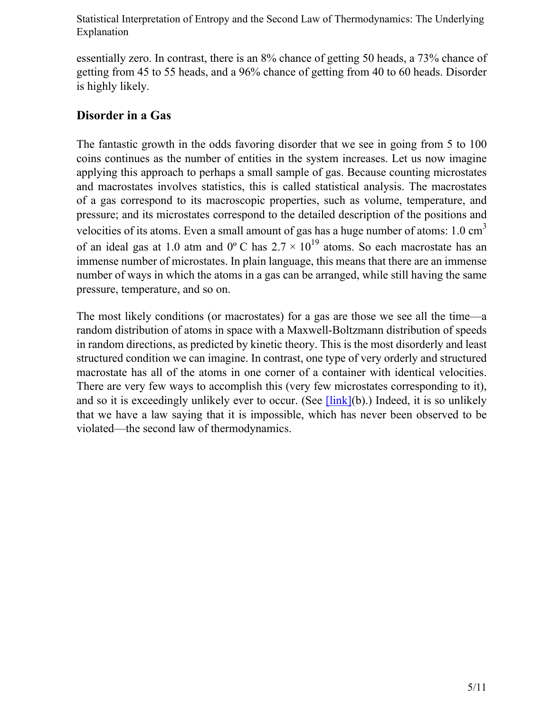essentially zero. In contrast, there is an 8% chance of getting 50 heads, a 73% chance of getting from 45 to 55 heads, and a 96% chance of getting from 40 to 60 heads. Disorder is highly likely.

## **Disorder in a Gas**

The fantastic growth in the odds favoring disorder that we see in going from 5 to 100 coins continues as the number of entities in the system increases. Let us now imagine applying this approach to perhaps a small sample of gas. Because counting microstates and macrostates involves statistics, this is called statistical analysis. The macrostates of a gas correspond to its macroscopic properties, such as volume, temperature, and pressure; and its microstates correspond to the detailed description of the positions and velocities of its atoms. Even a small amount of gas has a huge number of atoms:  $1.0 \text{ cm}^3$ of an ideal gas at 1.0 atm and  $0^{\circ}$  C has  $2.7 \times 10^{19}$  atoms. So each macrostate has an immense number of microstates. In plain language, this means that there are an immense number of ways in which the atoms in a gas can be arranged, while still having the same pressure, temperature, and so on.

The most likely conditions (or macrostates) for a gas are those we see all the time—a random distribution of atoms in space with a Maxwell-Boltzmann distribution of speeds in random directions, as predicted by kinetic theory. This is the most disorderly and least structured condition we can imagine. In contrast, one type of very orderly and structured macrostate has all of the atoms in one corner of a container with identical velocities. There are very few ways to accomplish this (very few microstates corresponding to it), and so it is exceedingly unlikely ever to occur. (See  $\frac{[\text{link}]}{[\text{b}]}$ ).) Indeed, it is so unlikely that we have a law saying that it is impossible, which has never been observed to be violated—the second law of thermodynamics.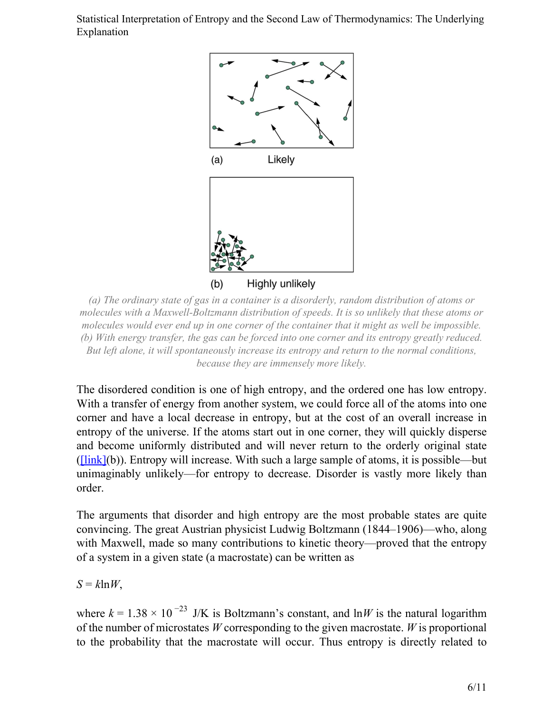<span id="page-5-0"></span>

*(a) The ordinary state of gas in a container is a disorderly, random distribution of atoms or molecules with a Maxwell-Boltzmann distribution of speeds. It is so unlikely that these atoms or molecules would ever end up in one corner of the container that it might as well be impossible. (b) With energy transfer, the gas can be forced into one corner and its entropy greatly reduced. But left alone, it will spontaneously increase its entropy and return to the normal conditions, because they are immensely more likely.*

The disordered condition is one of high entropy, and the ordered one has low entropy. With a transfer of energy from another system, we could force all of the atoms into one corner and have a local decrease in entropy, but at the cost of an overall increase in entropy of the universe. If the atoms start out in one corner, they will quickly disperse and become uniformly distributed and will never return to the orderly original state  $( {\lceil \text{link} \rceil}(b))$ . Entropy will increase. With such a large sample of atoms, it is possible—but unimaginably unlikely—for entropy to decrease. Disorder is vastly more likely than order.

The arguments that disorder and high entropy are the most probable states are quite convincing. The great Austrian physicist Ludwig Boltzmann (1844–1906)—who, along with Maxwell, made so many contributions to kinetic theory—proved that the entropy of a system in a given state (a macrostate) can be written as

 $S = k \ln W$ ,

where  $k = 1.38 \times 10^{-23}$  J/K is Boltzmann's constant, and lnW is the natural logarithm of the number of microstates *W* corresponding to the given macrostate. *W* is proportional to the probability that the macrostate will occur. Thus entropy is directly related to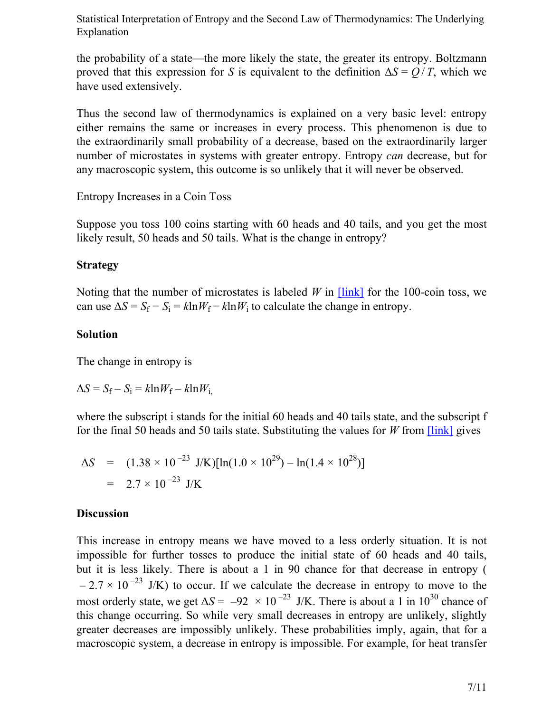the probability of a state—the more likely the state, the greater its entropy. Boltzmann proved that this expression for *S* is equivalent to the definition  $\Delta S = Q/T$ , which we have used extensively.

Thus the second law of thermodynamics is explained on a very basic level: entropy either remains the same or increases in every process. This phenomenon is due to the extraordinarily small probability of a decrease, based on the extraordinarily larger number of microstates in systems with greater entropy. Entropy *can* decrease, but for any macroscopic system, this outcome is so unlikely that it will never be observed.

Entropy Increases in a Coin Toss

Suppose you toss 100 coins starting with 60 heads and 40 tails, and you get the most likely result, 50 heads and 50 tails. What is the change in entropy?

#### **Strategy**

Noting that the number of microstates is labeled *W* in  $\left[{\rm link}\right]$  for the 100-coin toss, we can use  $\Delta S = S_f - S_i = k \ln W_f - k \ln W_i$  to calculate the change in entropy.

#### **Solution**

The change in entropy is

 $\Delta S = S_f - S_i = k \ln W_f - k \ln W_i$ 

where the subscript i stands for the initial 60 heads and 40 tails state, and the subscript f for the final 50 heads and 50 tails state. Substituting the values for *W* from  $\boxed{\text{link}}$  gives

$$
\Delta S = (1.38 \times 10^{-23} \text{ J/K})[\ln(1.0 \times 10^{29}) - \ln(1.4 \times 10^{28})]
$$
  
= 2.7 × 10<sup>-23</sup> J/K

#### **Discussion**

This increase in entropy means we have moved to a less orderly situation. It is not impossible for further tosses to produce the initial state of 60 heads and 40 tails, but it is less likely. There is about a 1 in 90 chance for that decrease in entropy (  $-2.7 \times 10^{-23}$  J/K) to occur. If we calculate the decrease in entropy to move to the most orderly state, we get  $\Delta S = -92 \times 10^{-23}$  J/K. There is about a 1 in 10<sup>30</sup> chance of this change occurring. So while very small decreases in entropy are unlikely, slightly greater decreases are impossibly unlikely. These probabilities imply, again, that for a macroscopic system, a decrease in entropy is impossible. For example, for heat transfer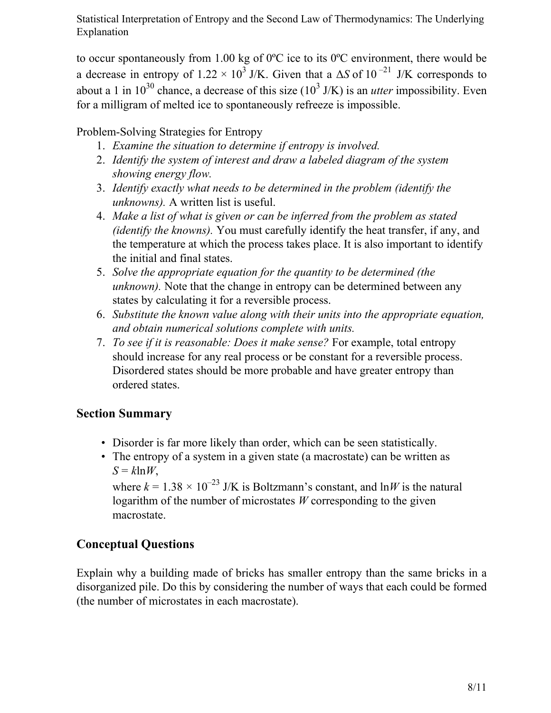to occur spontaneously from 1.00 kg of 0ºC ice to its 0ºC environment, there would be a decrease in entropy of  $1.22 \times 10^3$  J/K. Given that a  $\Delta S$  of  $10^{-21}$  J/K corresponds to about a 1 in  $10^{30}$  chance, a decrease of this size  $(10^3$  J/K) is an *utter* impossibility. Even for a milligram of melted ice to spontaneously refreeze is impossible.

Problem-Solving Strategies for Entropy

- 1. *Examine the situation to determine if entropy is involved.*
- 2. *Identify the system of interest and draw a labeled diagram of the system showing energy flow.*
- 3. *Identify exactly what needs to be determined in the problem (identify the unknowns).* A written list is useful.
- 4. *Make a list of what is given or can be inferred from the problem as stated (identify the knowns).* You must carefully identify the heat transfer, if any, and the temperature at which the process takes place. It is also important to identify the initial and final states.
- 5. *Solve the appropriate equation for the quantity to be determined (the unknown).* Note that the change in entropy can be determined between any states by calculating it for a reversible process.
- 6. *Substitute the known value along with their units into the appropriate equation, and obtain numerical solutions complete with units.*
- 7. *To see if it is reasonable: Does it make sense?* For example, total entropy should increase for any real process or be constant for a reversible process. Disordered states should be more probable and have greater entropy than ordered states.

### **Section Summary**

- Disorder is far more likely than order, which can be seen statistically.
- The entropy of a system in a given state (a macrostate) can be written as  $S = k \ln W$ ,

where  $k = 1.38 \times 10^{-23}$  J/K is Boltzmann's constant, and  $\ln W$  is the natural logarithm of the number of microstates *W* corresponding to the given macrostate.

# **Conceptual Questions**

Explain why a building made of bricks has smaller entropy than the same bricks in a disorganized pile. Do this by considering the number of ways that each could be formed (the number of microstates in each macrostate).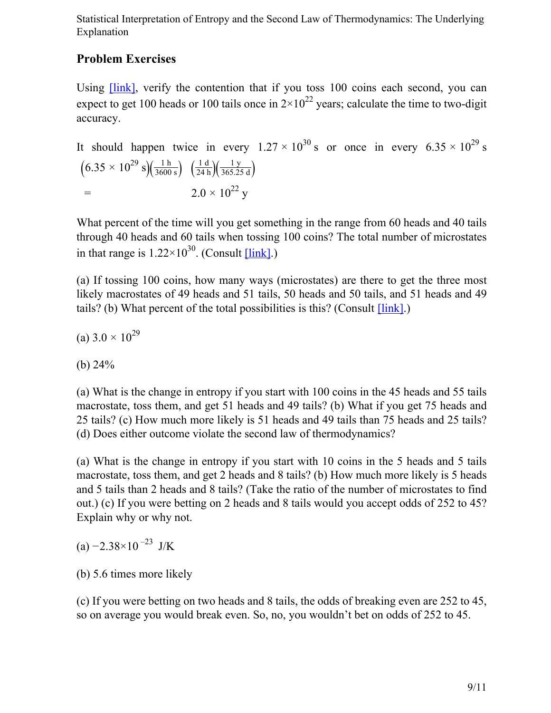# **Problem Exercises**

Using  $[\text{link}]$ , verify the contention that if you toss 100 coins each second, you can expect to get 100 heads or 100 tails once in  $2 \times 10^{22}$  years; calculate the time to two-digit accuracy.

It should happen twice in every  $1.27 \times 10^{30}$  s or once in every  $6.35 \times 10^{29}$  s  $\left(6.35 \times 10^{29} \text{ s}\right) \left(\frac{1 \text{ h}}{3600 \text{ s}}\right) \left(\frac{1 \text{ d}}{24 \text{ h}}\right) \left(\frac{1 \text{ y}}{365.25 \text{ d}}\right)$ =  $2.0 \times 10^{22}$  y

What percent of the time will you get something in the range from 60 heads and 40 tails through 40 heads and 60 tails when tossing 100 coins? The total number of microstates in that range is  $1.22 \times 10^{30}$ . (Consult [\[link\].](#page-2-0))

(a) If tossing 100 coins, how many ways (microstates) are there to get the three most likely macrostates of 49 heads and 51 tails, 50 heads and 50 tails, and 51 heads and 49 tails? (b) What percent of the total possibilities is this? (Consult [\[link\].](#page-2-0))

(a)  $3.0 \times 10^{29}$ 

(b) 24%

(a) What is the change in entropy if you start with 100 coins in the 45 heads and 55 tails macrostate, toss them, and get 51 heads and 49 tails? (b) What if you get 75 heads and 25 tails? (c) How much more likely is 51 heads and 49 tails than 75 heads and 25 tails? (d) Does either outcome violate the second law of thermodynamics?

(a) What is the change in entropy if you start with 10 coins in the 5 heads and 5 tails macrostate, toss them, and get 2 heads and 8 tails? (b) How much more likely is 5 heads and 5 tails than 2 heads and 8 tails? (Take the ratio of the number of microstates to find out.) (c) If you were betting on 2 heads and 8 tails would you accept odds of 252 to 45? Explain why or why not.

(a)  $-2.38\times10^{-23}$  J/K

(b) 5.6 times more likely

(c) If you were betting on two heads and 8 tails, the odds of breaking even are 252 to 45, so on average you would break even. So, no, you wouldn't bet on odds of 252 to 45.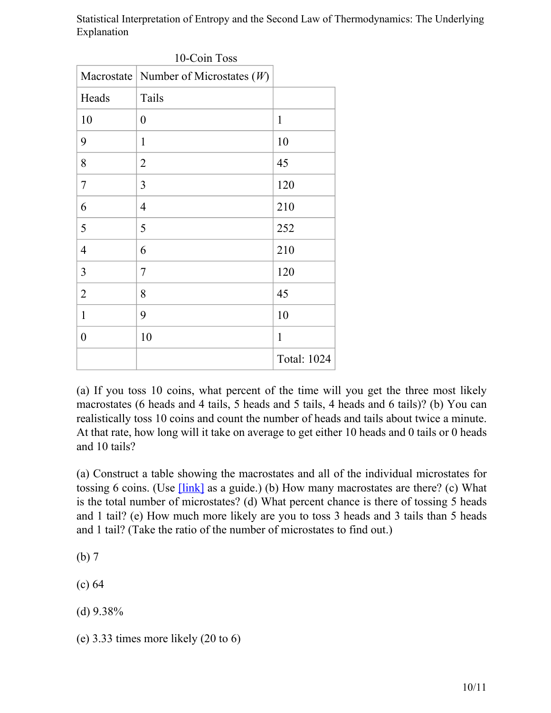<span id="page-9-0"></span>

|                  | Macrostate   Number of Microstates $(W)$ |              |
|------------------|------------------------------------------|--------------|
| Heads            | Tails                                    |              |
| 10               | $\boldsymbol{0}$                         | $\mathbf{1}$ |
| 9                | $\mathbf{1}$                             | 10           |
| 8                | $\overline{2}$                           | 45           |
| $\overline{7}$   | 3                                        | 120          |
| 6                | $\overline{4}$                           | 210          |
| 5                | 5                                        | 252          |
| $\overline{4}$   | 6                                        | 210          |
| 3                | 7                                        | 120          |
| $\overline{2}$   | 8                                        | 45           |
| $\mathbf{1}$     | 9                                        | 10           |
| $\boldsymbol{0}$ | 10                                       | $\mathbf{1}$ |
|                  |                                          | Total: 1024  |

(a) If you toss 10 coins, what percent of the time will you get the three most likely macrostates (6 heads and 4 tails, 5 heads and 5 tails, 4 heads and 6 tails)? (b) You can realistically toss 10 coins and count the number of heads and tails about twice a minute. At that rate, how long will it take on average to get either 10 heads and 0 tails or 0 heads and 10 tails?

(a) Construct a table showing the macrostates and all of the individual microstates for tossing 6 coins. (Use  $\boxed{\text{link}}$  as a guide.) (b) How many macrostates are there? (c) What is the total number of microstates? (d) What percent chance is there of tossing 5 heads and 1 tail? (e) How much more likely are you to toss 3 heads and 3 tails than 5 heads and 1 tail? (Take the ratio of the number of microstates to find out.)

(b) 7

(c) 64

(d) 9.38%

(e) 3.33 times more likely (20 to 6)